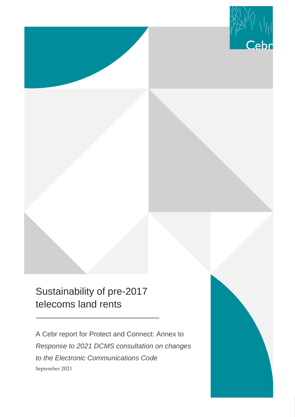

## Sustainability of pre-2017 telecoms land rents

A Cebr report for Protect and Connect: Annex to *Response to 2021 DCMS consultation on changes to the Electronic Communications Code* September 2021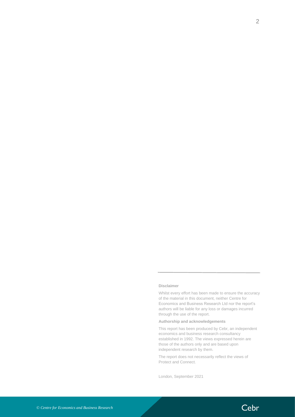#### **Disclaimer**

Whilst every effort has been made to ensure the accuracy of the material in this document, neither Centre for Economics and Business Research Ltd nor the report's authors will be liable for any loss or damages incurred through the use of the report.

#### **Authorship and acknowledgements**

This report has been produced by Cebr, an independent economics and business research consultancy established in 1992. The views expressed herein are those of the authors only and are based upon independent research by them.

The report does not necessarily reflect the views of Protect and Connect.

London, September 2021

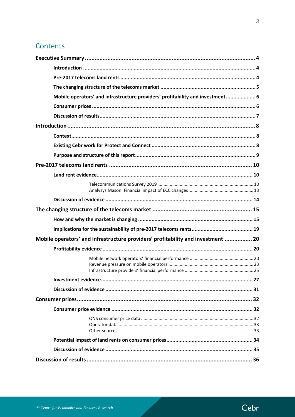## Contents

| Mobile operators' and infrastructure providers' profitability and investment 6   |  |
|----------------------------------------------------------------------------------|--|
|                                                                                  |  |
|                                                                                  |  |
|                                                                                  |  |
|                                                                                  |  |
|                                                                                  |  |
|                                                                                  |  |
|                                                                                  |  |
|                                                                                  |  |
|                                                                                  |  |
|                                                                                  |  |
|                                                                                  |  |
|                                                                                  |  |
|                                                                                  |  |
|                                                                                  |  |
| Mobile operators' and infrastructure providers' profitability and investment  20 |  |
|                                                                                  |  |
|                                                                                  |  |
|                                                                                  |  |
|                                                                                  |  |
|                                                                                  |  |
|                                                                                  |  |
|                                                                                  |  |
|                                                                                  |  |
|                                                                                  |  |
|                                                                                  |  |
|                                                                                  |  |
|                                                                                  |  |
|                                                                                  |  |

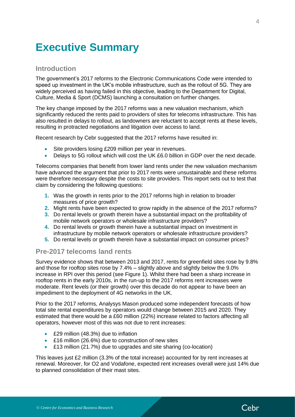## <span id="page-3-0"></span>**Executive Summary**

### <span id="page-3-1"></span>**Introduction**

The government's 2017 reforms to the Electronic Communications Code were intended to speed up investment in the UK's mobile infrastructure, such as the rollout of 5G. They are widely perceived as having failed in this objective, leading to the Department for Digital, Culture, Media & Sport (DCMS) launching a consultation on further changes.

The key change imposed by the 2017 reforms was a new valuation mechanism, which significantly reduced the rents paid to providers of sites for telecoms infrastructure. This has also resulted in delays to rollout, as landowners are reluctant to accept rents at these levels, resulting in protracted negotiations and litigation over access to land.

Recent research by Cebr suggested that the 2017 reforms have resulted in:

- Site providers losing £209 million per year in revenues.
- Delays to 5G rollout which will cost the UK £6.0 billion in GDP over the next decade.

Telecoms companies that benefit from lower land rents under the new valuation mechanism have advanced the argument that prior to 2017 rents were unsustainable and these reforms were therefore necessary despite the costs to site providers. This report sets out to test that claim by considering the following questions:

- **1.** Was the growth in rents prior to the 2017 reforms high in relation to broader measures of price growth?
- **2.** Might rents have been expected to grow rapidly in the absence of the 2017 reforms?
- **3.** Do rental levels or growth therein have a substantial impact on the profitability of mobile network operators or wholesale infrastructure providers?
- **4.** Do rental levels or growth therein have a substantial impact on investment in infrastructure by mobile network operators or wholesale infrastructure providers?
- **5.** Do rental levels or growth therein have a substantial impact on consumer prices?

### <span id="page-3-2"></span>**Pre-2017 telecoms land rents**

Survey evidence shows that between 2013 and 2017, rents for greenfield sites rose by 9.8% and those for rooftop sites rose by 7.4% – slightly above and slightly below the 9.0% increase in RPI over this period (see [Figure 1\)](#page-4-1). Whilst there had been a sharp increase in rooftop rents in the early 2010s, in the run-up to the 2017 reforms rent increases were moderate. Rent levels (or their growth) over this decade do not appear to have been an impediment to the deployment of 4G networks in the UK.

Prior to the 2017 reforms, Analysys Mason produced some independent forecasts of how total site rental expenditures by operators would change between 2015 and 2020. They estimated that there would be a £60 million (22%) increase related to factors affecting all operators, however most of this was not due to rent increases:

- £29 million (48.3%) due to inflation
- £16 million (26.6%) due to construction of new sites
- £13 million (21.7%) due to upgrades and site sharing (co-location)

This leaves just £2 million (3.3% of the total increase) accounted for by rent increases at renewal. Moreover, for O2 and Vodafone, expected rent increases overall were just 14% due to planned consolidation of their mast sites.

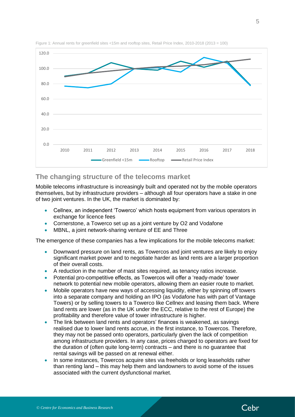

<span id="page-4-1"></span>Figure 1: Annual rents for greenfield sites <15m and rooftop sites, Retail Price Index, 2010-2018 (2013 = 100)

## <span id="page-4-0"></span>**The changing structure of the telecoms market**

Mobile telecoms infrastructure is increasingly built and operated not by the mobile operators themselves, but by infrastructure providers – although all four operators have a stake in one of two joint ventures. In the UK, the market is dominated by:

- Cellnex, an independent 'Towerco' which hosts equipment from various operators in exchange for licence fees
- Cornerstone, a Towerco set up as a joint venture by O2 and Vodafone
- MBNL, a joint network-sharing venture of EE and Three

The emergence of these companies has a few implications for the mobile telecoms market:

- Downward pressure on land rents, as Towercos and joint ventures are likely to enjoy significant market power and to negotiate harder as land rents are a larger proportion of their overall costs.
- A reduction in the number of mast sites required, as tenancy ratios increase.
- Potential pro-competitive effects, as Towercos will offer a 'ready-made' tower network to potential new mobile operators, allowing them an easier route to market.
- Mobile operators have new ways of accessing liquidity, either by spinning off towers into a separate company and holding an IPO (as Vodafone has with part of Vantage Towers) or by selling towers to a Towerco like Cellnex and leasing them back. Where land rents are lower (as in the UK under the ECC, relative to the rest of Europe) the profitability and therefore value of tower infrastructure is higher.
- The link between land rents and operators' finances is weakened, as savings realised due to lower land rents accrue, in the first instance, to Towercos. Therefore, they may not be passed onto operators, particularly given the lack of competition among infrastructure providers. In any case, prices charged to operators are fixed for the duration of (often quite long-term) contracts – and there is no guarantee that rental savings will be passed on at renewal either.
- In some instances, Towercos acquire sites via freeholds or long leaseholds rather than renting land – this may help them and landowners to avoid some of the issues associated with the current dysfunctional market.

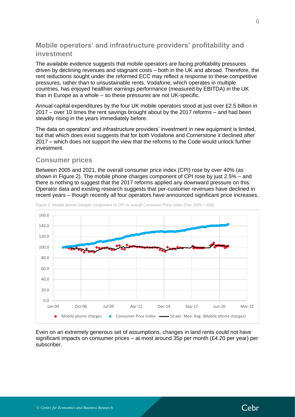## <span id="page-5-0"></span>**Mobile operators' and infrastructure providers' profitability and investment**

The available evidence suggests that mobile operators are facing profitability pressures driven by declining revenues and stagnant costs – both in the UK and abroad. Therefore, the rent reductions sought under the reformed ECC may reflect a response to these competitive pressures, rather than to unsustainable rents. Vodafone, which operates in multiple countries, has enjoyed healthier earnings performance (measured by EBITDA) in the UK than in Europe as a whole – so these pressures are not UK-specific.

Annual capital expenditures by the four UK mobile operators stood at just over £2.5 billion in 2017 – over 10 times the rent savings brought about by the 2017 reforms – and had been steadily rising in the years immediately before.

The data on operators' and infrastructure providers' investment in new equipment is limited, but that which does exist suggests that for both Vodafone and Cornerstone it declined after 2017 – which does not support the view that the reforms to the Code would unlock further investment.

## <span id="page-5-1"></span>**Consumer prices**

Between 2005 and 2021, the overall consumer price index (CPI) rose by over 40% (as shown in [Figure 2\)](#page-5-2). The mobile phone charges component of CPI rose by just 2.5% – and there is nothing to suggest that the 2017 reforms applied any downward pressure on this. Operator data and existing research suggests that per-customer revenues have declined in recent years – though recently all four operators have announced significant price increases.



<span id="page-5-2"></span>Figure 2: Mobile phone charges component of CPI vs overall Consumer Price Index (Feb 2005 = 100)

Even on an extremely generous set of assumptions, changes in land rents could not have significant impacts on consumer prices – at most around 35p per month (£4.20 per year) per subscriber.

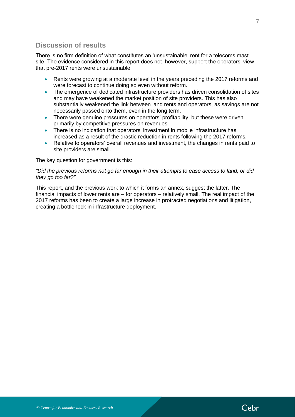## <span id="page-6-0"></span>**Discussion of results**

There is no firm definition of what constitutes an 'unsustainable' rent for a telecoms mast site. The evidence considered in this report does not, however, support the operators' view that pre-2017 rents were unsustainable:

- Rents were growing at a moderate level in the years preceding the 2017 reforms and were forecast to continue doing so even without reform.
- The emergence of dedicated infrastructure providers has driven consolidation of sites and may have weakened the market position of site providers. This has also substantially weakened the link between land rents and operators, as savings are not necessarily passed onto them, even in the long term.
- There were genuine pressures on operators' profitability, but these were driven primarily by competitive pressures on revenues.
- There is no indication that operators' investment in mobile infrastructure has increased as a result of the drastic reduction in rents following the 2017 reforms.
- Relative to operators' overall revenues and investment, the changes in rents paid to site providers are small.

The key question for government is this:

#### *"Did the previous reforms not go far enough in their attempts to ease access to land, or did they go too far?"*

This report, and the previous work to which it forms an annex, suggest the latter. The financial impacts of lower rents are – for operators – relatively small. The real impact of the 2017 reforms has been to create a large increase in protracted negotiations and litigation, creating a bottleneck in infrastructure deployment.

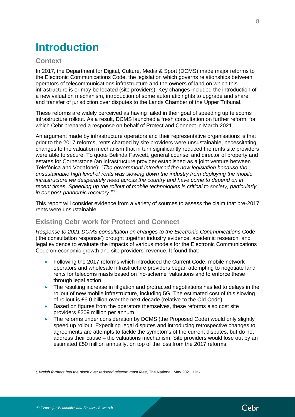## <span id="page-7-0"></span>**Introduction**

## <span id="page-7-1"></span>**Context**

In 2017, the Department for Digital, Culture, Media & Sport (DCMS) made major reforms to the Electronic Communications Code, the legislation which governs relationships between operators of telecommunications infrastructure and the owners of land on which this infrastructure is or may be located (site providers). Key changes included the introduction of a new valuation mechanism, introduction of some automatic rights to upgrade and share, and transfer of jurisdiction over disputes to the Lands Chamber of the Upper Tribunal.

These reforms are widely perceived as having failed in their goal of speeding up telecoms infrastructure rollout. As a result, DCMS launched a fresh consultation on further reform, for which Cebr prepared a response on behalf of Protect and Connect in March 2021.

An argument made by infrastructure operators and their representative organisations is that prior to the 2017 reforms, rents charged by site providers were unsustainable, necessitating changes to the valuation mechanism that in turn significantly reduced the rents site providers were able to secure. To quote Belinda Fawcett, general counsel and director of property and estates for Cornerstone (an infrastructure provider established as a joint venture between Telefónica and Vodafone): *"The government introduced the new legislation because the unsustainable high level of rents was slowing down the industry from deploying the mobile infrastructure we desperately need across the country and have come to depend on in recent times. Speeding up the rollout of mobile technologies is critical to society, particularly in our post-pandemic recovery."* <sup>1</sup>

This report will consider evidence from a variety of sources to assess the claim that pre-2017 rents were unsustainable.

## <span id="page-7-2"></span>**Existing Cebr work for Protect and Connect**

*Response to 2021 DCMS consultation on changes to the Electronic Communications* Code ('the consultation response') brought together industry evidence, academic research, and legal evidence to evaluate the impacts of various models for the Electronic Communications Code on economic growth and site providers' revenue. It found that:

- Following the 2017 reforms which introduced the Current Code, mobile network operators and wholesale infrastructure providers began attempting to negotiate land rents for telecoms masts based on 'no-scheme' valuations and to enforce these through legal action.
- The resulting increase in litigation and protracted negotiations has led to delays in the rollout of new mobile infrastructure, including 5G. The estimated cost of this slowing of rollout is £6.0 billion over the next decade (relative to the Old Code).
- Based on figures from the operators themselves, these reforms also cost site providers £209 million per annum.
- The reforms under consideration by DCMS (the Proposed Code) would only slightly speed up rollout. Expediting legal disputes and introducing retrospective changes to agreements are attempts to tackle the symptoms of the current disputes, but do not address their cause – the valuations mechanism. Site providers would lose out by an estimated £50 million annually, on top of the loss from the 2017 reforms.

1 *Welsh farmers feel the pinch over reduced telecom mast fees*, The National, May 2021. [Link.](https://www.thenational.wales/news/19306098.welsh-farmers-feel-pinch-reduced-telecom-mast-fees/)

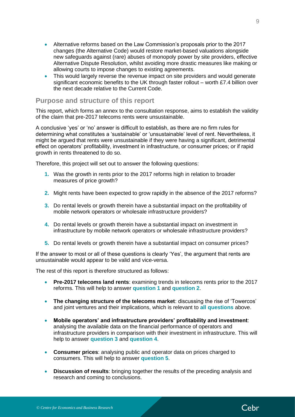- Alternative reforms based on the Law Commission's proposals prior to the 2017 changes (the Alternative Code) would restore market-based valuations alongside new safeguards against (rare) abuses of monopoly power by site providers, effective Alternative Dispute Resolution, whilst avoiding more drastic measures like making or allowing courts to impose changes to existing agreements.
- This would largely reverse the revenue impact on site providers and would generate significant economic benefits to the UK through faster rollout – worth £7.4 billion over the next decade relative to the Current Code.

### <span id="page-8-0"></span>**Purpose and structure of this report**

This report, which forms an annex to the consultation response, aims to establish the validity of the claim that pre-2017 telecoms rents were unsustainable.

A conclusive 'yes' or 'no' answer is difficult to establish, as there are no firm rules for determining what constitutes a 'sustainable' or 'unsustainable' level of rent. Nevertheless, it might be argued that rents were unsustainable if they were having a significant, detrimental effect on operators' profitability, investment in infrastructure, or consumer prices; or if rapid growth in rents threatened to do so.

Therefore, this project will set out to answer the following questions:

- **1.** Was the growth in rents prior to the 2017 reforms high in relation to broader measures of price growth?
- **2.** Might rents have been expected to grow rapidly in the absence of the 2017 reforms?
- **3.** Do rental levels or growth therein have a substantial impact on the profitability of mobile network operators or wholesale infrastructure providers?
- **4.** Do rental levels or growth therein have a substantial impact on investment in infrastructure by mobile network operators or wholesale infrastructure providers?
- **5.** Do rental levels or growth therein have a substantial impact on consumer prices?

If the answer to most or all of these questions is clearly 'Yes', the argument that rents are unsustainable would appear to be valid and vice-versa.

The rest of this report is therefore structured as follows:

- **Pre-2017 telecoms land rents**: examining trends in telecoms rents prior to the 2017 reforms. This will help to answer **question 1** and **question 2**.
- **The changing structure of the telecoms market**: discussing the rise of 'Towercos' and joint ventures and their implications, which is relevant to **all questions** above.
- **Mobile operators' and infrastructure providers' profitability and investment**: analysing the available data on the financial performance of operators and infrastructure providers in comparison with their investment in infrastructure. This will help to answer **question 3** and **question 4**.
- **Consumer prices**: analysing public and operator data on prices charged to consumers. This will help to answer **question 5**.
- **Discussion of results**: bringing together the results of the preceding analysis and research and coming to conclusions.

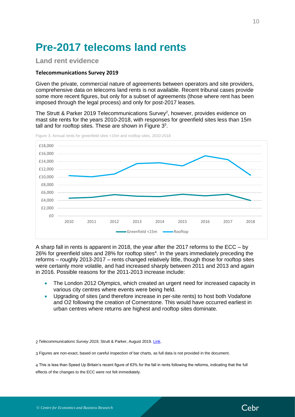# <span id="page-9-0"></span>**Pre-2017 telecoms land rents**

## <span id="page-9-1"></span>**Land rent evidence**

#### <span id="page-9-2"></span>**Telecommunications Survey 2019**

Given the private, commercial nature of agreements between operators and site providers, comprehensive data on telecoms land rents is not available. Recent tribunal cases provide some more recent figures, but only for a subset of agreements (those where rent has been imposed through the legal process) and only for post-2017 leases.

The Strutt & Parker 2019 Telecommunications Survey<sup>2</sup>, however, provides evidence on mast site rents for the years 2010-2018, with responses for greenfield sites less than 15m tall and for rooftop sites. These are shown in Figure  $3<sup>3</sup>$ .

<span id="page-9-3"></span>Figure 3: Annual rents for greenfield sites <15m and rooftop sites, 2010-2018



A sharp fall in rents is apparent in 2018, the year after the 2017 reforms to the ECC – by 26% for greenfield sites and 28% for rooftop sites<sup>4</sup>. In the years immediately preceding the reforms – roughly 2013-2017 – rents changed relatively little, though those for rooftop sites were certainly more volatile, and had increased sharply between 2011 and 2013 and again in 2016. Possible reasons for the 2011-2013 increase include:

- The London 2012 Olympics, which created an urgent need for increased capacity in various city centres where events were being held.
- Upgrading of sites (and therefore increase in per-site rents) to host both Vodafone and O2 following the creation of Cornerstone. This would have occurred earliest in urban centres where returns are highest and rooftop sites dominate.

2 *Telecommunications Survey 2019*, Strutt & Parker, August 2019. [Link.](https://rural.struttandparker.com/publication/telecommunications-survey-2019/)

3 Figures are non-exact, based on careful inspection of bar charts, as full data is not provided in the document.

4 This is less than Speed Up Britain's recent figure of 63% for the fall in rents following the reforms, indicating that the full effects of the changes to the ECC were not felt immediately.

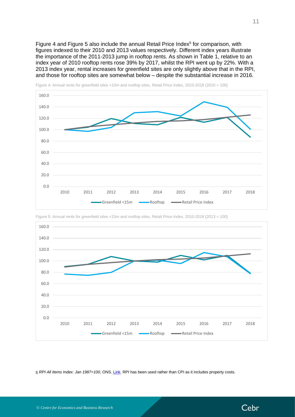[Figure 4](#page-10-0) and [Figure 5](#page-10-1) also include the annual Retail Price Index $5$  for comparison, with figures indexed to their 2010 and 2013 values respectively. Different index years illustrate the importance of the 2011-2013 jump in rooftop rents. As shown in [Table 1,](#page-11-0) relative to an index year of 2010 rooftop rents rose 39% by 2017, whilst the RPI went up by 22%. With a 2013 index year, rental increases for greenfield sites are only slightly above that in the RPI, and those for rooftop sites are somewhat below – despite the substantial increase in 2016.



<span id="page-10-0"></span>Figure 4: Annual rents for greenfield sites <15m and rooftop sites, Retail Price Index, 2010-2018 (2010 = 100)



<span id="page-10-1"></span>Figure 5: Annual rents for greenfield sites <15m and rooftop sites, Retail Price Index, 2010-2018 (2013 = 100)

5 *RPI All Items Index: Jan 1987=100*, ONS[. Link.](https://www.ons.gov.uk/economy/inflationandpriceindices/timeseries/chaw/mm23) RPI has been used rather than CPI as it includes property costs.

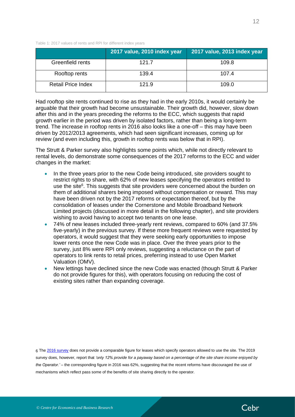<span id="page-11-0"></span>Table 1: 2017 values of rents and RPI for different index years

|                           | 2017 value, 2010 index year | 2017 value, 2013 index year |
|---------------------------|-----------------------------|-----------------------------|
| Greenfield rents          | 121.7                       | 109.8                       |
| Rooftop rents             | 139.4                       | 107.4                       |
| <b>Retail Price Index</b> | 121.9                       | 109.0                       |

Had rooftop site rents continued to rise as they had in the early 2010s, it would certainly be arguable that their growth had become unsustainable. Their growth did, however, slow down after this and in the years preceding the reforms to the ECC, which suggests that rapid growth earlier in the period was driven by isolated factors, rather than being a long-term trend. The increase in rooftop rents in 2016 also looks like a one-off – this may have been driven by 2012/2013 agreements, which had seen significant increases, coming up for review (and even including this, growth in rooftop rents was below that in RPI).

The Strutt & Parker survey also highlights some points which, while not directly relevant to rental levels, do demonstrate some consequences of the 2017 reforms to the ECC and wider changes in the market:

- In the three years prior to the new Code being introduced, site providers sought to restrict rights to share, with 62% of new leases specifying the operators entitled to use the site<sup>6</sup>. This suggests that site providers were concerned about the burden on them of additional sharers being imposed without compensation or reward. This may have been driven not by the 2017 reforms or expectation thereof, but by the consolidation of leases under the Cornerstone and Mobile Broadband Network Limited projects (discussed in more detail in the following chapter), and site providers wishing to avoid having to accept two tenants on one lease.
- 74% of new leases included three-yearly rent reviews, compared to 60% (and 37.5% five-yearly) in the previous survey. If these more frequent reviews were requested by operators, it would suggest that they were seeking early opportunities to impose lower rents once the new Code was in place. Over the three years prior to the survey, just 8% were RPI only reviews, suggesting a reluctance on the part of operators to link rents to retail prices, preferring instead to use Open Market Valuation (OMV).
- New lettings have declined since the new Code was enacted (though Strutt & Parker do not provide figures for this), with operators focusing on reducing the cost of existing sites rather than expanding coverage.

6 Th[e 2016 survey](https://2391de4ba78ae59a71f3-fe3f5161196526a8a7b5af72d4961ee5.ssl.cf3.rackcdn.com/6814/7487/9565/Telecoms_brochure.pdf) does not provide a comparable figure for leases which specify operators allowed to use the site. The 2019 survey does, however, report that *'only 12% provide for a payaway based on a percentage of the site share income enjoyed by the Operator.'* – the corresponding figure in 2016 was 62%, suggesting that the recent reforms have discouraged the use of mechanisms which reflect pass some of the benefits of site sharing directly to the operator.

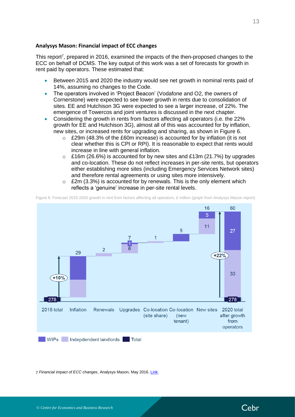#### <span id="page-12-0"></span>**Analysys Mason: Financial impact of ECC changes**

This report<sup>7</sup>, prepared in 2016, examined the impacts of the then-proposed changes to the ECC on behalf of DCMS. The key output of this work was a set of forecasts for growth in rent paid by operators. These estimated that:

- Between 2015 and 2020 the industry would see net growth in nominal rents paid of 14%, assuming no changes to the Code.
- The operators involved in 'Project Beacon' (Vodafone and O2, the owners of Cornerstone) were expected to see lower growth in rents due to consolidation of sites. EE and Hutchison 3G were expected to see a larger increase, of 22%. The emergence of Towercos and joint ventures is discussed in the next chapter.
- Considering the growth in rents from factors affecting all operators (i.e. the 22% growth for EE and Hutchison 3G), almost all of this was accounted for by inflation, new sites, or increased rents for upgrading and sharing, as shown in [Figure 6.](#page-12-1)
	- $\degree$  £29m (48.3% of the £60m increase) is accounted for by inflation (it is not clear whether this is CPI or RPI). It is reasonable to expect that rents would increase in line with general inflation.
	- $\circ$  £16m (26.6%) is accounted for by new sites and £13m (21.7%) by upgrades and co-location. These do not reflect increases in per-site rents, but operators either establishing more sites (including Emergency Services Network sites) and therefore rental agreements or using sites more intensively.
	- $\circ$  £2m (3.3%) is accounted for by renewals. This is the only element which reflects a 'genuine' increase in per-site rental levels.

<span id="page-12-1"></span>Figure 6: Forecast 2015-2020 growth in rent from factors affecting all operators, £ million (graph from Analysys Mason report)



7 *Financial impact of ECC changes*, Analysys Mason, May 2016[. Link.](https://assets.publishing.service.gov.uk/government/uploads/system/uploads/attachment_data/file/523787/Analysys_Mason_-_Financial_impact_of_ECC_changes_-_Final_report__3_.pdf)

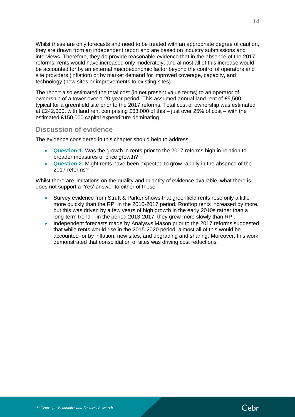Whilst these are only forecasts and need to be treated with an appropriate degree of caution, they are drawn from an independent report and are based on industry submissions and interviews. Therefore, they do provide reasonable evidence that in the absence of the 2017 reforms, rents would have increased only moderately, and almost all of this increase would be accounted for by an external macroeconomic factor beyond the control of operators and site providers (inflation) or by market demand for improved coverage, capacity, and technology (new sites or improvements to existing sites).

The report also estimated the total cost (in net present value terms) to an operator of ownership of a tower over a 20-year period. This assumed annual land rent of £5,500, typical for a greenfield site prior to the 2017 reforms. Total cost of ownership was estimated at £242,000, with land rent comprising £63,000 of this – just over 25% of cost – with the estimated £150,000 capital expenditure dominating.

## <span id="page-13-0"></span>**Discussion of evidence**

The evidence considered in this chapter should help to address:

- **Question 1:** Was the growth in rents prior to the 2017 reforms high in relation to broader measures of price growth?
- **Question 2:** Might rents have been expected to grow rapidly in the absence of the 2017 reforms?

Whilst there are limitations on the quality and quantity of evidence available, what there is does not support a 'Yes' answer to either of these:

- Survey evidence from Strutt & Parker shows that greenfield rents rose only a little more quickly than the RPI in the 2010-2017 period. Rooftop rents increased by more, but this was driven by a few years of high growth in the early 2010s rather than a long-term trend – in the period 2013-2017, they grew more slowly than RPI.
- Independent forecasts made by Analysys Mason prior to the 2017 reforms suggested that while rents would rise in the 2015-2020 period, almost all of this would be accounted for by inflation, new sites, and upgrading and sharing. Moreover, this work demonstrated that consolidation of sites was driving cost reductions.

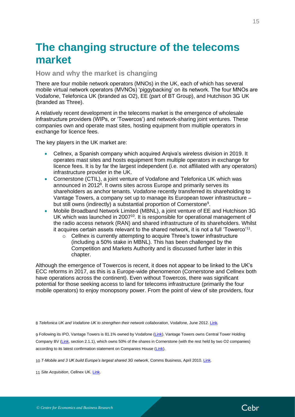## <span id="page-14-0"></span>**The changing structure of the telecoms market**

<span id="page-14-1"></span>**How and why the market is changing**

There are four mobile network operators (MNOs) in the UK, each of which has several mobile virtual network operators (MVNOs) 'piggybacking' on its network. The four MNOs are Vodafone, Telefonica UK (branded as O2), EE (part of BT Group), and Hutchison 3G UK (branded as Three).

A relatively recent development in the telecoms market is the emergence of wholesale infrastructure providers (WIPs, or 'Towercos') and network-sharing joint ventures. These companies own and operate mast sites, hosting equipment from multiple operators in exchange for licence fees.

The key players in the UK market are:

- Cellnex, a Spanish company which acquired Arqiva's wireless division in 2019. It operates mast sites and hosts equipment from multiple operators in exchange for licence fees. It is by far the largest independent (i.e. not affiliated with any operators) infrastructure provider in the UK.
- Cornerstone (CTIL), a joint venture of Vodafone and Telefonica UK which was announced in 2012<sup>8</sup>. It owns sites across Europe and primarily serves its shareholders as anchor tenants. Vodafone recently transferred its shareholding to Vantage Towers, a company set up to manage its European tower infrastructure – but still owns (indirectly) a substantial proportion of Cornerstone<sup>9</sup>.
- Mobile Broadband Network Limited (MBNL), a joint venture of EE and Hutchison 3G UK which was launched in 2007<sup>10</sup>. It is responsible for operational management of the radio access network (RAN) and shared infrastructure of its shareholders. Whilst it acquires certain assets relevant to the shared network, it is not a full 'Towerco'<sup>11</sup>.
	- o Cellnex is currently attempting to acquire Three's tower infrastructure (including a 50% stake in MBNL). This has been challenged by the Competition and Markets Authority and is discussed further later in this chapter.

Although the emergence of Towercos is recent, it does not appear to be linked to the UK's ECC reforms in 2017, as this is a Europe-wide phenomenon (Cornerstone and Cellnex both have operations across the continent). Even without Towercos, there was significant potential for those seeking access to land for telecoms infrastructure (primarily the four mobile operators) to enjoy monopsony power. From the point of view of site providers, four

8 *Telefonica UK and Vodafone UK to strengthen their network collaboration*, Vodafone, June 2012. [Link.](https://www.vodafone.co.uk/cs/groups/public/documents/webcontent/vftst162773.pdf)

9 Following its IPO, Vantage Towers is 81.1% owned by Vodafone [\(Link\)](https://telecoms.com/509057/vantage-towers-starts-trading-vodafone-makes-e2-3-billion/). Vantage Towers owns Central Tower Holding Company BV [\(Link,](https://www.vantagetowers.com/sites/tower-co-v2/files/vantage-towers-prospectus-v3.pdf) section 2.1.1), which owns 50% of the shares in Cornerstone (with the rest held by two O2 companies) according to its latest confirmation statement on Companies House [\(Link\)](https://s3.eu-west-2.amazonaws.com/document-api-images-live.ch.gov.uk/docs/Jq6HX1rF9LCMVSRwQ3UJnyENq2Tl7oV-O7y09wMH-v0/application-pdf?X-Amz-Algorithm=AWS4-HMAC-SHA256&X-Amz-Credential=ASIAWRGBDBV3AN2EDIOJ%2F20210827%2Feu-west-2%2Fs3%2Faws4_request&X-Amz-Date=20210827T144709Z&X-Amz-Expires=60&X-Amz-Security-Token=IQoJb3JpZ2luX2VjED4aCWV1LXdlc3QtMiJIMEYCIQDC0UkfRV%2B%2BB6e99F2NKzz%2BlsH7thHRbza82UXxQQOuSwIhAOxsfIlK%2FMyB0qEKgABuMowIgkxFKREqEIu2QuY0SeWwKvoDCHcQAxoMNDQ5MjI5MDMyODIyIgwvGwJf91QRxN%2F0%2BRYq1wOiATgwcHI52so3DX5TYmieKk1Lh5cVV%2BD0yeo38ZmcJJcDWKDS%2BrBL4sqW4gFIQOPPr4H1WU3gGkXMiwV4kKJdZk8RLUELqHxFPXvoq752pfVpaqArX2Ul9rT1y3iLYmmDjiPSm2F%2FOY1K%2BWh1rSllYlX4AX1aStzLxJIIT7vc7MB1Om%2B4xxJgBMnPCeOasqtMFRlcwfIQ2ZbN7XGMRR0DyXUM1%2BI8qn2%2FxFKHvgXZD4YRLY1ywiWgPfj9i8bpuawtd8ImsaF5xhQr%2BHKYnN3G8Q5OW6tt24Ycyfmbb1wsTLXC8OiURFW%2FCFm1YXs1cnXgtaxhv3xQye6M2%2FDEh7WG2s3JYAOL1B5EtisiqUo4CSe%2BdfIunsWOKm9gCUJB1O2kYE5%2F9zTn5zm5qoehzQYo%2Bv9UwykwoK82WM0IjzvgEZRohcPkq5XVbc1wh1d0%2BTvXiUooax9OrKORzdMncKJb%2FgMUFwOdNLTC0wqeFeiNq068KQnehnUTUETuj8FRVNrMV8UGBW4rPjwHdoJii%2FYHAEwsPpIjGlqf7MHiLvbcS4rKH92M0FK%2Fzswl6zCCPC7dCA03hcCGzK%2BFPw5fHzr%2BA%2FH%2FZ8nj6zL7h12LkUmsOORos2e1RT4w%2BdmjiQY6pAF09kmCWCkYQdHF8P9x5%2FixoCkj2lYeKdQjJIA3p8L1FZP%2BkygoW06%2BWaic6FZDprxRI1mrA33t2xawbYN8lVVBUutV%2FXT3%2FYlFGW4f8qIM6YXxb9bLzdS86PnAfY50SsnX826nSp2LkNRQ00Mq1fBXXb8MlWrM96epQ2%2FIplLk%2BVijEqpVmC25lDSklikYtq60RwXMThvFRnpFv%2F8cO3M8C%2BzTfQ%3D%3D&X-Amz-SignedHeaders=host&response-content-disposition=inline%3Bfilename%3D%2208087551_cs01_2021-05-24.pdf%22&X-Amz-Signature=48bb08dbc69c87b0aa4c26332a3f696ba0c16f95756841b2dc3db3a8f0fcd91f).

10 *T-Mobile and 3 UK build Europe's largest shared 3G network*, Comms Business, April 2010. [Link.](https://www.commsbusiness.co.uk/news/t-mobile-and-3-uk-build-europes-largest-shared-3g-network/)

11 *Site Acquisition*, Cellnex UK. [Link.](https://www.cellnextelecom.com/en/site-acquisition-uk/)

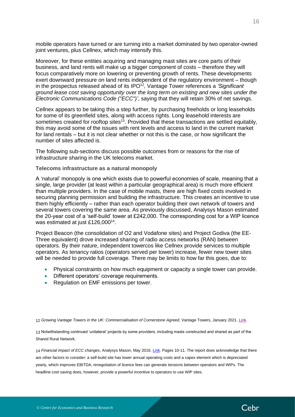mobile operators have turned or are turning into a market dominated by two operator-owned joint ventures, plus Cellnex, which may intensify this.

Moreover, for these entities acquiring and managing mast sites are core parts of their business, and land rents will make up a bigger component of costs – therefore they will focus comparatively more on lowering or preventing growth of rents. These developments exert downward pressure on land rents independent of the regulatory environment – though in the prospectus released ahead of its IPO<sup>12</sup> , Vantage Tower references a *'Significant ground lease cost saving opportunity over the long term on existing and new sites under the Electronic Communications Code ("ECC")'*, saying that they will retain 30% of net savings.

Cellnex appears to be taking this a step further, by purchasing freeholds or long leaseholds for some of its greenfield sites, along with access rights. Long leasehold interests are sometimes created for rooftop sites<sup>13</sup>. Provided that these transactions are settled equitably, this may avoid some of the issues with rent levels and access to land in the current market for land rentals – but it is not clear whether or not this is the case, or how significant the number of sites affected is.

The following sub-sections discuss possible outcomes from or reasons for the rise of infrastructure sharing in the UK telecoms market.

#### **Telecoms infrastructure as a natural monopoly**

A 'natural' monopoly is one which exists due to powerful economies of scale, meaning that a single, large provider (at least within a particular geographical area) is much more efficient than multiple providers. In the case of mobile masts, there are high fixed costs involved in securing planning permission and building the infrastructure. This creates an incentive to use them highly efficiently – rather than each operator building their own network of towers and several towers covering the same area. As previously discussed, Analysys Mason estimated the 20-year cost of a 'self-build' tower at £242,000. The corresponding cost for a WIP licence was estimated at just £126,000<sup>14</sup>.

Project Beacon (the consolidation of O2 and Vodafone sites) and Project Godiva (the EE-Three equivalent) drove increased sharing of radio access networks (RAN) between operators. By their nature, independent towercos like Cellnex provide services to multiple operators. As tenancy ratios (operators served per tower) increase, fewer new tower sites will be needed to provide full coverage. There may be limits to how far this goes, due to:

- Physical constraints on how much equipment or capacity a single tower can provide.
- Different operators' coverage requirements.
- Regulation on EMF emissions per tower.

12 *Growing Vantage Towers in the UK: Commercialisation of Cornerstone Agreed*, Vantage Towers, January 2021. [Link.](https://investors.vodafone.com/sites/vodafone-ir/files/document_file/cornerstone-presentation.pdf)

13 Notwithstanding continued 'unilateral' projects by some providers, including masts constructed and shared as part of the Shared Rural Network.

14 *Financial impact of ECC changes*, Analysys Mason, May 2016[. Link.](https://assets.publishing.service.gov.uk/government/uploads/system/uploads/attachment_data/file/523787/Analysys_Mason_-_Financial_impact_of_ECC_changes_-_Final_report__3_.pdf) Pages 10-11. The report does acknowledge that there are other factors to consider: a self-build site has lower annual operating costs and a capex element which is depreciated yearly, which improves EBITDA; renegotiation of licence fees can generate tensions between operators and WIPs. The headline cost saving does, however, provide a powerful incentive to operators to use WIP sites.

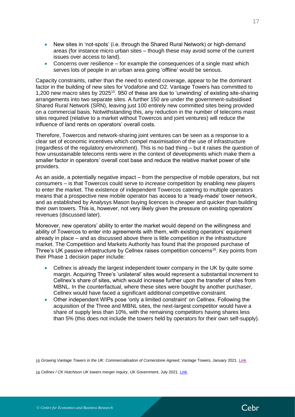- New sites in 'not-spots' (i.e. through the Shared Rural Network) or high-demand areas (for instance micro urban sites – though these may avoid some of the current issues over access to land).
- Concerns over resilience  $-$  for example the consequences of a single mast which serves lots of people in an urban area going 'offline' would be serious.

Capacity constraints, rather than the need to extend coverage, appear to be the dominant factor in the building of new sites for Vodafone and O2. Vantage Towers has committed to 1,200 new macro sites by 2025<sup>15</sup>. 950 of these are due to 'unwinding' of existing site-sharing arrangements into two separate sites. A further 150 are under the government-subsidised Shared Rural Network (SRN), leaving just 100 entirely new committed sites being provided on a commercial basis. Notwithstanding this, any reduction in the number of telecoms mast sites required (relative to a market without Towercos and joint ventures) will reduce the influence of land rents on operators' overall costs.

Therefore, Towercos and network-sharing joint ventures can be seen as a response to a clear set of economic incentives which compel maximisation of the use of infrastructure (regardless of the regulatory environment). This is no bad thing – but it raises the question of how unsustainable telecoms rents were in the context of developments which make them a smaller factor in operators' overall cost base and reduce the relative market power of site providers.

As an aside, a potentially negative impact – from the perspective of mobile operators, but not consumers – is that Towercos could serve to *increase* competition by enabling new players to enter the market. The existence of independent Towercos catering to multiple operators means that a prospective new mobile operator has access to a 'ready-made' tower network, and as established by Analysys Mason buying licences is cheaper and quicker than building their own towers. This is, however, not very likely given the pressure on existing operators' revenues (discussed later).

Moreover, new operators' ability to enter the market would depend on the willingness and ability of Towercos to enter into agreements with them, with existing operators' equipment already in place – and as discussed above there is little competition in the infrastructure market. The Competition and Markets Authority has found that the proposed purchase of Three's UK passive infrastructure by Cellnex raises competition concerns<sup>16</sup>. Key points from their Phase 1 decision paper include:

- Cellnex is already the largest independent tower company in the UK by quite some margin. Acquiring Three's 'unilateral' sites would represent a substantial increment to Cellnex's share of sites, which would increase further upon the transfer of sites from MBNL. In the counterfactual, where these sites were bought by another purchaser, Cellnex would have faced a significant additional competitive constraint.
- Other independent WIPs pose 'only a limited constraint' on Cellnex. Following the acquisition of the Three and MBNL sites, the next-largest competitor would have a share of supply less than 10%, with the remaining competitors having shares less than 5% (this does not include the towers held by operators for their own self-supply).

15 *Growing Vantage Towers in the UK: Commercialisation of Cornerstone Agreed*, Vantage Towers, January 2021. [Link.](https://investors.vodafone.com/sites/vodafone-ir/files/document_file/cornerstone-presentation.pdf)

16 *Cellnex / CK Hutchison UK towers merger inquiry*, UK Government, July 2021. [Link.](https://www.gov.uk/cma-cases/cellnex-slash-ck-hutchison-uk-towers-merger-inquiry)

17

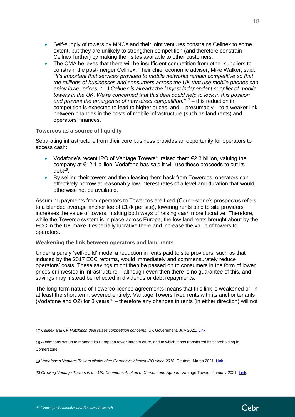- Self-supply of towers by MNOs and their joint ventures constrains Cellnex to some extent, but they are unlikely to strengthen competition (and therefore constrain Cellnex further) by making their sites available to other customers.
- The CMA believes that there will be insufficient competition from other suppliers to constrain the post-merger Cellnex. Their chief economic adviser, Mike Walker, said: *"It's important that services provided to mobile networks remain competitive so that the millions of businesses and consumers across the UK that use mobile phones can enjoy lower prices. (…) Cellnex is already the largest independent supplier of mobile towers in the UK. We're concerned that this deal could help to lock in this position and prevent the emergence of new direct competition."* <sup>17</sup> – this reduction in competition is expected to lead to higher prices, and – presumably – to a weaker link between changes in the costs of mobile infrastructure (such as land rents) and operators' finances.

#### **Towercos as a source of liquidity**

Separating infrastructure from their core business provides an opportunity for operators to access cash:

- Vodafone's recent IPO of Vantage Towers<sup>18</sup> raised them  $\epsilon$ 2.3 billion, valuing the company at €12.1 billion. Vodafone has said it will use these proceeds to cut its debt<sup>19</sup>.
- By selling their towers and then leasing them back from Towercos, operators can effectively borrow at reasonably low interest rates of a level and duration that would otherwise not be available.

Assuming payments from operators to Towercos are fixed (Cornerstone's prospectus refers to a blended average anchor fee of £17k per site), lowering rents paid to site providers increases the value of towers, making both ways of raising cash more lucrative. Therefore, while the Towerco system is in place across Europe, the low land rents brought about by the ECC in the UK make it especially lucrative there and increase the value of towers to operators.

#### **Weakening the link between operators and land rents**

Under a purely 'self-build' model a reduction in rents paid to site providers, such as that induced by the 2017 ECC reforms, would immediately and commensurately reduce operators' costs. These savings might then be passed on to consumers in the form of lower prices or invested in infrastructure – although even then there is no guarantee of this, and savings may instead be reflected in dividends or debt repayments.

The long-term nature of Towerco licence agreements means that this link is weakened or, in at least the short term, severed entirely. Vantage Towers fixed rents with its anchor tenants (Vodafone and O2) for 8 years<sup>20</sup> – therefore any changes in rents (in either direction) will not

20 *Growing Vantage Towers in the UK: Commercialisation of Cornerstone Agreed*, Vantage Towers, January 2021. [Link.](https://investors.vodafone.com/sites/vodafone-ir/files/document_file/cornerstone-presentation.pdf)



<sup>17</sup> Cellnex and CK Hutchison deal raises competition concerns, UK Government, July 2021[. Link.](https://www.gov.uk/government/news/cellnex-and-ck-hutchison-deal-raises-competition-concerns)

<sup>18</sup> A company set up to manage its European tower infrastructure, and to which it has transferred its shareholding in Cornerstone.

<sup>19</sup> *Vodafone's Vantage Towers climbs after Germany's biggest IPO since 2018*, Reuters, March 2021[. Link.](https://www.reuters.com/article/us-vodafone-group-vantage-ipo-idUSKBN2BA0V4)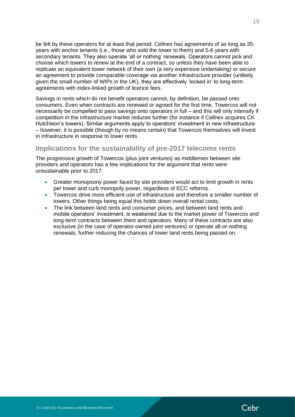be felt by these operators for at least that period. Cellnex has agreements of as long as 35 years with anchor tenants (i.e., those who sold the tower to them) and 5-6 years with secondary tenants. They also operate 'all or nothing' renewals. Operators cannot pick and choose which towers to renew at the end of a contract, so unless they have been able to replicate an equivalent tower network of their own (a very expensive undertaking) or secure an agreement to provide comparable coverage via another infrastructure provider (unlikely given the small number of WIPs in the UK), they are effectively 'locked in' to long-term agreements with index-linked growth of licence fees.

Savings in rents which do not benefit operators cannot, by definition, be passed onto consumers. Even when contracts are renewed or agreed for the first time, Towercos will not necessarily be compelled to pass savings onto operators in full – and this will only intensify if competition in the infrastructure market reduces further (for instance if Cellnex acquires CK Hutchison's towers). Similar arguments apply to operators' investment in new infrastructure – however, it is possible (though by no means certain) that Towercos themselves will invest in infrastructure in response to lower rents.

### <span id="page-18-0"></span>**Implications for the sustainability of pre-2017 telecoms rents**

The progressive growth of Towercos (plus joint ventures) as middlemen between site providers and operators has a few implications for the argument that rents were unsustainable prior to 2017:

- Greater monopsony power faced by site providers would act to limit growth in rents per tower and curb monopoly power, regardless of ECC reforms.
- Towercos drive more efficient use of infrastructure and therefore a smaller number of towers. Other things being equal this holds down overall rental costs.
- The link between land rents and consumer prices, and between land rents and mobile operators' investment, is weakened due to the market power of Towercos and long-term contracts between them and operators. Many of these contracts are also exclusive (in the case of operator-owned joint ventures) or operate all-or-nothing renewals, further reducing the chances of lower land rents being passed on.

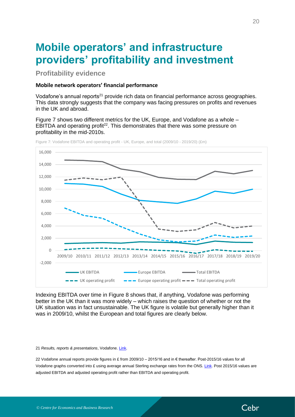## <span id="page-19-0"></span>**Mobile operators' and infrastructure providers' profitability and investment**

<span id="page-19-1"></span>**Profitability evidence**

#### <span id="page-19-2"></span>**Mobile network operators' financial performance**

Vodafone's annual reports<sup>21</sup> provide rich data on financial performance across geographies. This data strongly suggests that the company was facing pressures on profits and revenues in the UK and abroad.

[Figure 7](#page-19-3) shows two different metrics for the UK, Europe, and Vodafone as a whole – EBITDA and operating profit<sup>22</sup>. This demonstrates that there was some pressure on profitability in the mid-2010s.



<span id="page-19-3"></span>Figure 7: Vodafone EBITDA and operating profit - UK, Europe, and total (2009/10 - 2019/20) (£m)

Indexing EBITDA over time in [Figure 8](#page-20-0) shows that, if anything, Vodafone was performing better in the UK than it was more widely – which raises the question of whether or not the UK situation was in fact unsustainable. The UK figure is volatile but generally higher than it was in 2009/10, whilst the European and total figures are clearly below.

#### 21 *Results, reports & presentations*, Vodafone. [Link.](https://investors.vodafone.com/reports-information/results-reports-presentations)

22 Vodafone annual reports provide figures in £ from 2009/10 – 2015/16 and in € thereafter. Post-2015/16 values for all Vodafone graphs converted into £ using average annual Sterling exchange rates from the ONS[. Link.](https://www.ons.gov.uk/economy/nationalaccounts/balanceofpayments/timeseries/thap/mret) Post 2015/16 values are adjusted EBITDA and adjusted operating profit rather than EBITDA and operating profit.

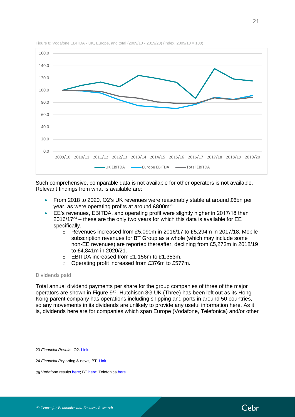

<span id="page-20-0"></span>Figure 8: Vodafone EBITDA - UK, Europe, and total (2009/10 - 2019/20) (Index, 2009/10 = 100)

Such comprehensive, comparable data is not available for other operators is not available. Relevant findings from what is available are:

- From 2018 to 2020, O2's UK revenues were reasonably stable at around £6bn per year, as were operating profits at around £800m<sup>23</sup>.
- EE's revenues, EBITDA, and operating profit were slightly higher in 2017/18 than  $2016/17<sup>24</sup>$  – these are the only two years for which this data is available for EE specifically.
	- $\circ$  Revenues increased from £5,090m in 2016/17 to £5,294m in 2017/18. Mobile subscription revenues for BT Group as a whole (which may include some non-EE revenues) are reported thereafter, declining from £5,273m in 2018/19 to £4,841m in 2020/21.
	- o EBITDA increased from £1,156m to £1,353m.
	- o Operating profit increased from £376m to £577m.

#### Dividends paid

Total annual dividend payments per share for the group companies of three of the major operators are shown in [Figure 9](#page-21-0)<sup>25</sup>. Hutchison 3G UK (Three) has been left out as its Hong Kong parent company has operations including shipping and ports in around 50 countries, so any movements in its dividends are unlikely to provide any useful information here. As it is, dividends here are for companies which span Europe (Vodafone, Telefonica) and/or other

23 *Financial Results*, O2[. Link.](https://news.o2.co.uk/tag/financial-results/)



<sup>24</sup> *Financial Rep*orting & news*,* BT*.* [Link.](https://www.bt.com/about/investors/financial-reporting-and-news)

<sup>25</sup> Vodafone result[s here;](https://investors.vodafone.com/individual-shareholders/dividends) B[T here;](https://www.bt.com/about/investors/individual-shareholders/dividends#accordion-2) Telefonica [here.](https://uk.investing.com/equities/telefonica-dividends)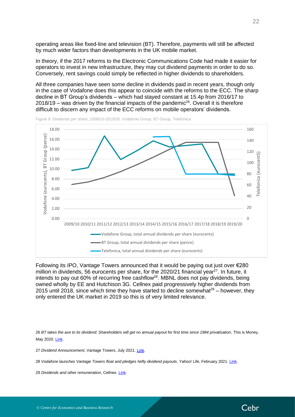operating areas like fixed-line and television (BT). Therefore, payments will still be affected by much wider factors than developments in the UK mobile market.

In theory, if the 2017 reforms to the Electronic Communications Code had made it easier for operators to invest in new infrastructure, they may cut dividend payments in order to do so. Conversely, rent savings could simply be reflected in higher dividends to shareholders.

All three companies have seen some decline in dividends paid in recent years, though only in the case of Vodafone does this appear to coincide with the reforms to the ECC. The sharp decline in BT Group's dividends – which had stayed constant at 15.4p from 2016/17 to  $2018/19$  – was driven by the financial impacts of the pandemic<sup>26</sup>. Overall it is therefore difficult to discern any impact of the ECC reforms on mobile operators' dividends.



<span id="page-21-0"></span>Figure 9: Dividends per share, 2009/10-2019/20, Vodafone Group, BT Group, Telefonica

Following its IPO, Vantage Towers announced that it would be paying out just over €280 million in dividends, 56 eurocents per share, for the 2020/21 financial year $^{27}$ . In future, it intends to pay out 60% of recurring free cashflow<sup>28</sup>. MBNL does not pay dividends, being owned wholly by EE and Hutchison 3G. Cellnex paid progressively higher dividends from 2015 until 2018, since which time they have started to decline somewhat $29 -$  however, they only entered the UK market in 2019 so this is of very limited relevance.

26 *BT takes the axe to its dividend: Shareholders will get no annual payout for first time since 1984 privatisation*, This is Money, May 2020[. Link.](https://www.thisismoney.co.uk/money/markets/article-8298159/BT-takes-axe-dividend-No-annual-payout-time-1984.html)

27 *Dividend Announcement*, Vantage Towers, July 2021. [Link.](https://www.vantagetowers.com/sites/tower-co-v2/files/2021-07/dividend-announcement-2021.pdf)

28 *Vodafone launches Vantage Towers float and pledges hefty dividend payouts*, Yahoo! Life, February 2021. [Link.](https://uk.style.yahoo.com/vodafone-launches-vantage-towers-float-084650959.html?guccounter=1)

29 *Dividends and other remuneration*, Cellnex. [Link.](https://www.cellnextelecom.com/en/investor-relations/dividendos-y-otras-remuneraciones/)

![](_page_21_Picture_12.jpeg)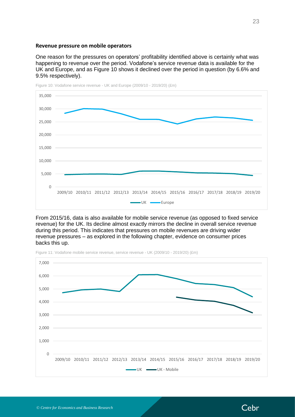#### <span id="page-22-0"></span>**Revenue pressure on mobile operators**

One reason for the pressures on operators' profitability identified above is certainly what was happening to revenue over the period. Vodafone's service revenue data is available for the UK and Europe, and as [Figure 10](#page-22-1) shows it declined over the period in question (by 6.6% and 9.5% respectively).

![](_page_22_Figure_2.jpeg)

<span id="page-22-1"></span>Figure 10: Vodafone service revenue - UK and Europe (2009/10 - 2019/20) (£m)

From 2015/16, data is also available for mobile service revenue (as opposed to fixed service revenue) for the UK. Its decline almost exactly mirrors the decline in overall service revenue during this period. This indicates that pressures on mobile revenues are driving wider revenue pressures – as explored in the following chapter, evidence on consumer prices backs this up.

![](_page_22_Figure_5.jpeg)

Figure 11: Vodafone mobile service revenue, service revenue - UK (2009/10 - 2019/20) (£m)

![](_page_22_Picture_9.jpeg)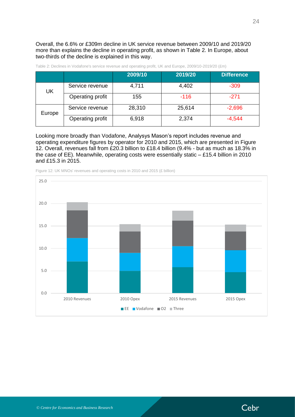Overall, the 6.6% or £309m decline in UK service revenue between 2009/10 and 2019/20 more than explains the decline in operating profit, as shown in [Table 2.](#page-23-0) In Europe, about two-thirds of the decline is explained in this way.

|        |                  | 2009/10 | 2019/20 | <b>Difference</b> |
|--------|------------------|---------|---------|-------------------|
| UK     | Service revenue  | 4,711   | 4,402   | $-309$            |
|        | Operating profit | 155     | $-116$  | $-271$            |
| Europe | Service revenue  | 28,310  | 25,614  | $-2,696$          |
|        | Operating profit | 6,918   | 2,374   | $-4.544$          |

<span id="page-23-0"></span>Table 2: Declines in Vodafone's service revenue and operating profit, UK and Europe, 2009/10-2019/20 (£m)

Looking more broadly than Vodafone, Analysys Mason's report includes revenue and operating expenditure figures by operator for 2010 and 2015, which are presented in [Figure](#page-23-1)  [12.](#page-23-1) Overall, revenues fall from £20.3 billion to £18.4 billion (9.4% - but as much as 18.3% in the case of EE). Meanwhile, operating costs were essentially static – £15.4 billion in 2010 and £15.3 in 2015.

![](_page_23_Figure_4.jpeg)

<span id="page-23-1"></span>Figure 12: UK MNOs' revenues and operating costs in 2010 and 2015 (£ billion)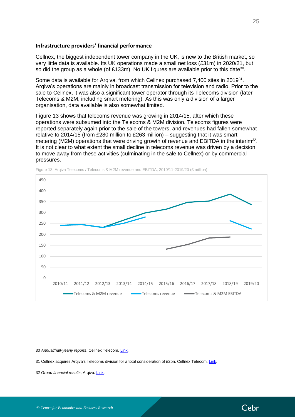#### <span id="page-24-0"></span>**Infrastructure providers' financial performance**

Cellnex, the biggest independent tower company in the UK, is new to the British market, so very little data is available. Its UK operations made a small net loss (£31m) in 2020/21, but so did the group as a whole (of £133m). No UK figures are available prior to this date<sup>30</sup>.

Some data is available for Arqiva, from which Cellnex purchased 7,400 sites in 2019<sup>31</sup>. Arqiva's operations are mainly in broadcast transmission for television and radio. Prior to the sale to Cellnex, it was also a significant tower operator through its Telecoms division (later Telecoms & M2M, including smart metering). As this was only a division of a larger organisation, data available is also somewhat limited.

[Figure 13](#page-24-1) shows that telecoms revenue was growing in 2014/15, after which these operations were subsumed into the Telecoms & M2M division. Telecoms figures were reported separately again prior to the sale of the towers, and revenues had fallen somewhat relative to 2014/15 (from £280 million to £263 million) – suggesting that it was smart metering (M2M) operations that were driving growth of revenue and EBITDA in the interim<sup>32</sup>. It is not clear to what extent the small decline in telecoms revenue was driven by a decision to move away from these activities (culminating in the sale to Cellnex) or by commercial pressures.

![](_page_24_Figure_4.jpeg)

<span id="page-24-1"></span>Figure 13: Arqiva Telecoms / Telecoms & M2M revenue and EBITDA, 2010/11-2019/20 (£ million)

30 *Annual/half-yearly reports*, Cellnex Telecom[. Link.](https://www.cellnextelecom.com/en/investor-relations/annual-report/)

31 Cellnex acquires Arqiva's Telecoms division for a total consideration of £2bn, Cellnex Telecom[. Link.](https://www.cellnextelecom.com/en/noticia-126/)

32 *Group financial results*, Arqiva[. Link.](https://www.arqiva.com/about/financial-reporting/group-financial-results/)

![](_page_24_Picture_11.jpeg)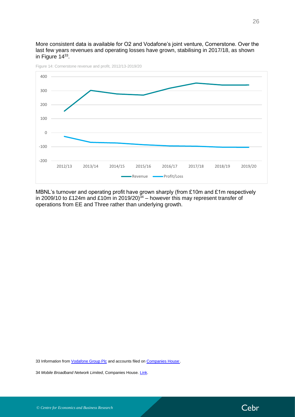More consistent data is available for O2 and Vodafone's joint venture, Cornerstone. Over the last few years revenues and operating losses have grown, stabilising in 2017/18, as shown in Figure  $14^{33}$ .

![](_page_25_Figure_1.jpeg)

<span id="page-25-0"></span>Figure 14: Cornerstone revenue and profit, 2012/13-2019/20

MBNL's turnover and operating profit have grown sharply (from £10m and £1m respectively in 2009/10 to £124m and £10m in 2019/20) $34$  – however this may represent transfer of operations from EE and Three rather than underlying growth.

33 Information from *Vodafone Group Plc* and accounts filed on *Companies House*.

34 *Mobile Broadband Network Limited*, Companies House[. Link.](https://find-and-update.company-information.service.gov.uk/company/06375220)

![](_page_25_Picture_8.jpeg)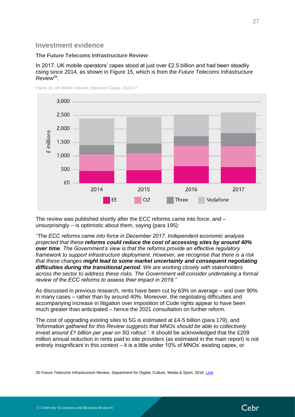## <span id="page-26-0"></span>**Investment evidence**

#### **The Future Telecoms Infrastructure Review**

In 2017, UK mobile operators' capex stood at just over £2.5 billion and had been steadily rising since 2014, as shown in [Figure 15,](#page-26-1) which is from the *Future Telecoms Infrastructure Review*<sup>35</sup> .

![](_page_26_Figure_3.jpeg)

<span id="page-26-1"></span>Figure 15: UK Mobile Network Operators' Capex, 2014-17

The review was published shortly after the ECC reforms came into force, and – unsurprisingly – is optimistic about them, saying (para 195):

*"The ECC reforms came into force in December 2017. Independent economic analysis projected that these reforms could reduce the cost of accessing sites by around 40% over time. The Government's view is that the reforms provide an effective regulatory framework to support infrastructure deployment. However, we recognise that there is a risk that these changes might lead to some market uncertainty and consequent negotiating difficulties during the transitional period. We are working closely with stakeholders*  across the sector to address these risks. The Government will consider undertaking a formal *review of the ECC reforms to assess their impact in 2019."*

As discussed in previous research, rents have been cut by 63% on average – and over 90% in many cases – rather than by around 40%. Moreover, the negotiating difficulties and accompanying increase in litigation over imposition of Code rights appear to have been much greater than anticipated – hence the 2021 consultation on further reform.

The cost of upgrading existing sites to 5G is estimated at £4-5 billion (para 179), and *'Information gathered for this Review suggests that MNOs should be able to collectively invest around £1 billion per year on 5G rollout.'*. It should be acknowledged that the £209 million annual reduction in rents paid to site providers (as estimated in the main report) is not entirely insignificant in this context – it is a little under 10% of MNOs' existing capex, or

35 *Future Telecoms Infrastructure Review*, Department for Digital, Culture, Media & Sport, 2018[. Link.](https://assets.publishing.service.gov.uk/government/uploads/system/uploads/attachment_data/file/732496/Future_Telecoms_Infrastructure_Review.pdf)

![](_page_26_Picture_12.jpeg)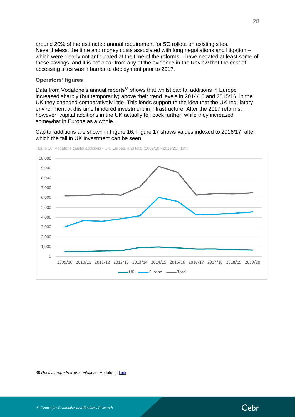around 20% of the estimated annual requirement for 5G rollout on existing sites. Nevertheless, the time and money costs associated with long negotiations and litigation – which were clearly not anticipated at the time of the reforms – have negated at least some of these savings, and it is not clear from any of the evidence in the Review that the cost of accessing sites was a barrier to deployment prior to 2017.

#### **Operators' figures**

Data from Vodafone's annual reports<sup>36</sup> shows that whilst capital additions in Europe increased sharply (but temporarily) above their trend levels in 2014/15 and 2015/16, in the UK they changed comparatively little. This lends support to the idea that the UK regulatory environment at this time hindered investment in infrastructure. After the 2017 reforms, however, capital additions in the UK actually fell back further, while they increased somewhat in Europe as a whole.

Capital additions are shown in [Figure 16.](#page-27-0) [Figure 17](#page-28-0) shows values indexed to 2016/17, after which the fall in UK investment can be seen.

![](_page_27_Figure_4.jpeg)

<span id="page-27-0"></span>Figure 16: Vodafone capital additions - UK, Europe, and total (2009/10 - 2019/20) (£m)

36 *Results, reports & presentations*, Vodafone. [Link.](https://investors.vodafone.com/reports-information/results-reports-presentations)

![](_page_27_Picture_9.jpeg)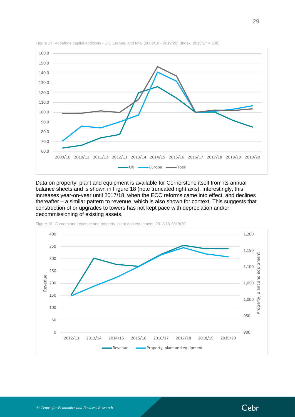![](_page_28_Figure_0.jpeg)

<span id="page-28-0"></span>Figure 17: Vodafone capital additions - UK, Europe, and total (2009/10 - 2019/20) (Index, 2016/17 = 100)

Data on property, plant and equipment is available for Cornerstone itself from its annual balance sheets and is shown in [Figure 18](#page-28-1) (note truncated right axis). Interestingly, this increases year-on-year until 2017/18, when the ECC reforms came into effect, and declines thereafter – a similar pattern to revenue, which is also shown for context. This suggests that construction of or upgrades to towers has not kept pace with depreciation and/or decommissioning of existing assets.

![](_page_28_Figure_3.jpeg)

<span id="page-28-1"></span>Figure 18: Cornerstone revenue and property, plant and equipment, 2012/13-2019/20

Cebr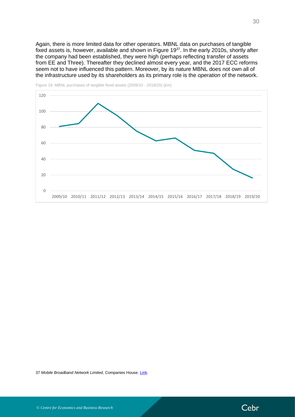Again, there is more limited data for other operators. MBNL data on purchases of tangible fixed assets is, however, available and shown in [Figure 19](#page-29-0)<sup>37</sup>. In the early 2010s, shortly after the company had been established, they were high (perhaps reflecting transfer of assets from EE and Three). Thereafter they declined almost every year, and the 2017 ECC reforms seem not to have influenced this pattern. Moreover, by its nature MBNL does not own all of the infrastructure used by its shareholders as its primary role is the *operation* of the network.

![](_page_29_Figure_1.jpeg)

<span id="page-29-0"></span>![](_page_29_Figure_2.jpeg)

37 *Mobile Broadband Network Limited*, Companies House[. Link.](https://find-and-update.company-information.service.gov.uk/company/06375220)

![](_page_29_Picture_6.jpeg)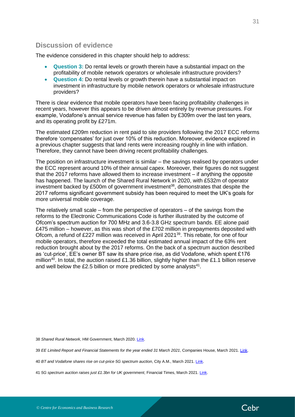## <span id="page-30-0"></span>**Discussion of evidence**

The evidence considered in this chapter should help to address:

- **Question 3:** Do rental levels or growth therein have a substantial impact on the profitability of mobile network operators or wholesale infrastructure providers?
- **Question 4:** Do rental levels or growth therein have a substantial impact on investment in infrastructure by mobile network operators or wholesale infrastructure providers?

There is clear evidence that mobile operators have been facing profitability challenges in recent years, however this appears to be driven almost entirely by revenue pressures. For example, Vodafone's annual service revenue has fallen by £309m over the last ten years, and its operating profit by £271m.

The estimated £209m reduction in rent paid to site providers following the 2017 ECC reforms therefore 'compensates' for just over 10% of this reduction. Moreover, evidence explored in a previous chapter suggests that land rents were increasing roughly in line with inflation. Therefore, they cannot have been driving recent profitability challenges.

The position on infrastructure investment is similar – the savings realised by operators under the ECC represent around 10% of their annual capex. Moreover, their figures do not suggest that the 2017 reforms have allowed them to increase investment – if anything the opposite has happened. The launch of the Shared Rural Network in 2020, with £532m of operator investment backed by £500m of government investment<sup>38</sup>, demonstrates that despite the 2017 reforms significant government subsidy has been required to meet the UK's goals for more universal mobile coverage.

The relatively small scale – from the perspective of operators – of the savings from the reforms to the Electronic Communications Code is further illustrated by the outcome of Ofcom's spectrum auction for 700 MHz and 3.6-3.8 GHz spectrum bands. EE alone paid £475 million – however, as this was short of the £702 million in prepayments deposited with Ofcom, a refund of £227 million was received in April 2021<sup>39</sup>. This rebate, for one of four mobile operators, therefore exceeded the total estimated annual impact of the 63% rent reduction brought about by the 2017 reforms. On the back of a spectrum auction described as 'cut-price', EE's owner BT saw its share price rise, as did Vodafone, which spent £176 million<sup>40</sup>. In total, the auction raised £1.36 billion, slightly higher than the £1.1 billion reserve and well below the £2.5 billion or more predicted by some analysts $41$ .

38 *Shared Rural Network*, HM Government, March 2020. [Link.](https://www.gov.uk/government/news/shared-rural-network)

39 *EE Limited Report and Financial Statements for the year ended 31 March 2021*, Companies House, March 2021. [Link.](https://s3.eu-west-2.amazonaws.com/document-api-images-live.ch.gov.uk/docs/QYn8sl-m3PrLjlXuzVXJ9ivdP4pmyoNOaFGlb1Y_LZ8/application-pdf?X-Amz-Algorithm=AWS4-HMAC-SHA256&X-Amz-Credential=ASIAWRGBDBV3EWUUMGO3%2F20210809%2Feu-west-2%2Fs3%2Faws4_request&X-Amz-Date=20210809T090247Z&X-Amz-Expires=60&X-Amz-Security-Token=IQoJb3JpZ2luX2VjEIP%2F%2F%2F%2F%2F%2F%2F%2F%2F%2FwEaCWV1LXdlc3QtMiJIMEYCIQDl6cMufM6TejtNXy1MDupAjE2IMorPtILvYftTuzyy%2FAIhAPQ5yrrFSZKMm8ZoCdVdaFABqqwmjBTHWtIhNC3X4CeOKoMECJz%2F%2F%2F%2F%2F%2F%2F%2F%2F%2FwEQAxoMNDQ5MjI5MDMyODIyIgyXfwuugkO%2BwjtY0OYq1wPoY2OXxdW%2FdB7J5MxIvt1pWPZhqfZ6JjHfyb3F2TaHb%2BTgm47I06YdR8OpTVUkuU3ZVD7EkIsvTdOyu5O6KCt%2BDOyD4JOP1x5iCrerNGw31k25h6R4dNsWa6Ha0JKM6wgmCmJpKgr3MU202OW6N5a8iTjGPdG2IDcE2yM8ULhdS32iywD4JT75ZFrNJtZL%2BYnq9vYe75Tr%2F6cg3QpiAemtiiBbdwFXE%2F%2FKxgQAWgxLtfS%2FMfaiY7IQHAITwk%2BlDASV1mAoj0zTeoXDsMj5F0LHn6lcs9VKVmMMHUiRSJNj%2FzdoiyI2DaVEFgpIkEpv7ZBooCuuLiET3Ufk5QNPFzWeg%2F7Rz7w%2BP2K5PJy1qw90kOKKyO8JBVLVvxTYv6HqdQ8pqW%2FYy189%2BySJSkLOZxY5r12DC%2FSuRcOO7xkgqcdiTOkfSEvYiPlxOsBOBXDUfRdciJnwt%2BFBehQAefx6D%2Bx9bxszOLN3lEiFnW9L1eiQ6TR7%2FXENUfiiut%2B5XS%2BxJO5cePRFgCmkdjekSX9OlDTLq4qkC%2FxROS8Uix2T1jJIC8DHuR%2FImLHKrDYbrx4DGvRo8KQ2gWB5lxXInTZQYg%2BwVC5PxewBWOlTU5re2mJE1QenoPtXVEIwuLfCiAY6pAGbIV5%2BSdAynqxESyRRTgIvO969mPLuTRu%2Fb7QHo2cCeQrjqir6xuxXQiVJ9dAYy7UsTjUA%2F2PpZblqPU4l8mQBjxHta5cetNi8uK2LU6K3HrV7WpFrZrpb8J5tf0vvE8cJEyhNKO%2FB4XGuzBlCXIhxUMWeHONqGuXVn%2FiFqdk4kh3RGQZ1KkBLrDkWVUzqw4Q6KLdAaaTJcvW%2Bjkoicz222qxNew%3D%3D&X-Amz-SignedHeaders=host&response-content-disposition=inline%3Bfilename%3D%22companies_house_document.pdf%22&X-Amz-Signature=238866d6ca8807695f190cb2608a68cdf77d4d2d411291ca366fb282e0c83170)

40 *BT and Vodafone shares rise on cut-price 5G spectrum auction*, City A.M., March 2021. [Link.](https://www.cityam.com/ofcom-raises-1-4bn-from-mobile-airwaves-auction/)

41 *5G spectrum auction raises just £1.3bn for UK government*, Financial Times, March 2021. [Link.](https://www.ft.com/content/41a10fce-4b6a-443d-8c0f-26f62bf2470c)

![](_page_30_Picture_14.jpeg)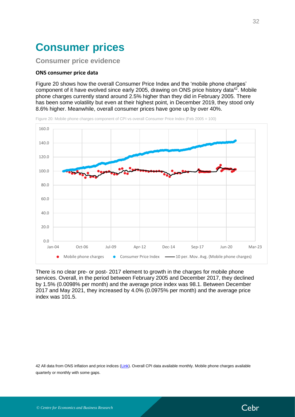## <span id="page-31-0"></span>**Consumer prices**

### <span id="page-31-1"></span>**Consumer price evidence**

#### <span id="page-31-2"></span>**ONS consumer price data**

[Figure 20](#page-31-3) shows how the overall Consumer Price Index and the 'mobile phone charges' component of it have evolved since early 2005, drawing on ONS price history data<sup>42</sup>. Mobile phone charges currently stand around 2.5% higher than they did in February 2005. There has been some volatility but even at their highest point, in December 2019, they stood only 8.6% higher. Meanwhile, overall consumer prices have gone up by over 40%.

![](_page_31_Figure_4.jpeg)

<span id="page-31-3"></span>Figure 20: Mobile phone charges component of CPI vs overall Consumer Price Index (Feb 2005 = 100)

There is no clear pre- or post- 2017 element to growth in the charges for mobile phone services. Overall, in the period between February 2005 and December 2017, they declined by 1.5% (0.0098% per month) and the average price index was 98.1. Between December 2017 and May 2021, they increased by 4.0% (0.0975% per month) and the average price index was 101.5.

42 All data from ONS inflation and price indices [\(Link\)](https://www.ons.gov.uk/economy/inflationandpriceindices/timeseries/d7bt/mm23). Overall CPI data available monthly. Mobile phone charges available quarterly or monthly with some gaps.

![](_page_31_Picture_10.jpeg)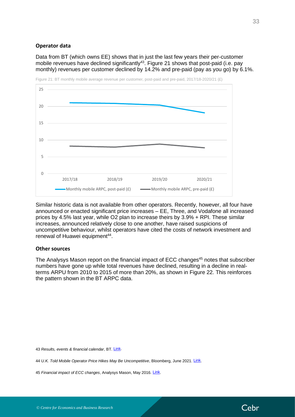#### <span id="page-32-0"></span>**Operator data**

Data from BT (which owns EE) shows that in just the last few years their per-customer mobile revenues have declined significantly<sup>43</sup>. [Figure 21](#page-32-2) shows that post-paid (i.e. pay monthly) revenues per customer declined by 14.2% and pre-paid (pay as you go) by 6.1%.

![](_page_32_Figure_2.jpeg)

<span id="page-32-2"></span>Figure 21: BT monthly mobile average revenue per customer, post-paid and pre-paid, 2017/18-2020/21 (£)

Similar historic data is not available from other operators. Recently, however, all four have announced or enacted significant price increases – EE, Three, and Vodafone all increased prices by 4.5% last year, while O2 plan to increase theirs by 3.9% + RPI. These similar increases, announced relatively close to one another, have raised suspicions of uncompetitive behaviour, whilst operators have cited the costs of network investment and renewal of Huawei equipment<sup>44</sup>.

#### <span id="page-32-1"></span>**Other sources**

The Analysys Mason report on the financial impact of ECC changes<sup>45</sup> notes that subscriber numbers have gone up while total revenues have declined, resulting in a decline in realterms ARPU from 2010 to 2015 of more than 20%, as shown in [Figure 22.](#page-33-1) This reinforces the pattern shown in the BT ARPC data.

43 *Results, events & financial calendar*, BT. [Link.](https://www.bt.com/about/investors/financial-reporting-and-news/results-events-and-financial-calendar)

44 *U.K. Told Mobile Operator Price Hikes May Be Uncompetitive*, Bloomberg, June 2021. [Link.](https://www.bloomberg.com/news/articles/2021-06-18/u-k-told-mobile-operator-price-hikes-may-be-uncompetitive)

45 *Financial impact of ECC changes*, Analysys Mason, May 2016. *[Link.](https://assets.publishing.service.gov.uk/government/uploads/system/uploads/attachment_data/file/523787/Analysys_Mason_-_Financial_impact_of_ECC_changes_-_Final_report__3_.pdf)* 

![](_page_32_Picture_12.jpeg)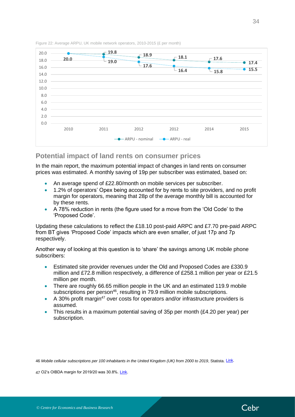![](_page_33_Figure_0.jpeg)

<span id="page-33-1"></span>Figure 22: Average ARPU, UK mobile network operators, 2010-2015 (£ per month)

## <span id="page-33-0"></span>**Potential impact of land rents on consumer prices**

In the main report, the maximum potential impact of changes in land rents on consumer prices was estimated. A monthly saving of 19p per subscriber was estimated, based on:

- An average spend of £22.80/month on mobile services per subscriber.
- 1.2% of operators' Opex being accounted for by rents to site providers, and no profit margin for operators, meaning that 28p of the average monthly bill is accounted for by these rents.
- A 78% reduction in rents (the figure used for a move from the 'Old Code' to the 'Proposed Code'.

Updating these calculations to reflect the £18.10 post-paid ARPC and £7.70 pre-paid ARPC from BT gives 'Proposed Code' impacts which are even smaller, of just 17p and 7p respectively.

Another way of looking at this question is to 'share' the savings among UK mobile phone subscribers:

- Estimated site provider revenues under the Old and Proposed Codes are £330.9 million and £72.8 million respectively, a difference of £258.1 million per year or £21.5 million per month.
- There are roughly 66.65 million people in the UK and an estimated 119.9 mobile subscriptions per person<sup>46</sup>, resulting in 79.9 million mobile subscriptions.
- A 30% profit margin<sup>47</sup> over costs for operators and/or infrastructure providers is assumed.
- This results in a maximum potential saving of 35p per month ( $\text{\pounds}4.20$  per year) per subscription.

46 *Mobile cellular subscriptions per 100 inhabitants in the United Kingdom (UK) from 2000 to 2019*, Statista. [Link.](https://www.statista.com/statistics/468681/mobile-cellular-subscriptions-per-100-inhabitant-united-kingdom-uk/)

47 O2's OIBDA margin for 2019/20 was 30.8%. [Link.](https://news.o2.co.uk/press-release/o2-continues-customer-growth-and-profitability-as-it-supports-uk-through-pandemic/)

![](_page_33_Picture_17.jpeg)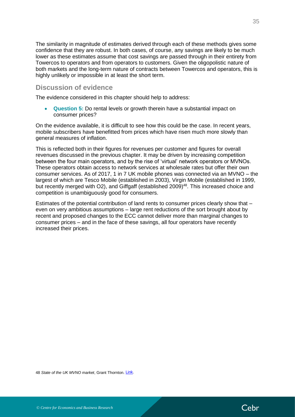The similarity in magnitude of estimates derived through each of these methods gives some confidence that they are robust. In both cases, of course, any savings are likely to be much lower as these estimates assume that cost savings are passed through in their entirety from Towercos to operators and from operators to customers. Given the oligopolistic nature of both markets and the long-term nature of contracts between Towercos and operators, this is highly unlikely or impossible in at least the short term.

## <span id="page-34-0"></span>**Discussion of evidence**

The evidence considered in this chapter should help to address:

• **Question 5:** Do rental levels or growth therein have a substantial impact on consumer prices?

On the evidence available, it is difficult to see how this could be the case. In recent years, mobile subscribers have benefitted from prices which have risen much more slowly than general measures of inflation.

This is reflected both in their figures for revenues per customer and figures for overall revenues discussed in the previous chapter. It may be driven by increasing competition between the four main operators, and by the rise of 'virtual' network operators or MVNOs. These operators obtain access to network services at wholesale rates but offer their own consumer services. As of 2017, 1 in 7 UK mobile phones was connected via an MVNO – the largest of which are Tesco Mobile (established in 2003), Virgin Mobile (established in 1999, but recently merged with O2), and Giffgaff (established 2009)<sup>48</sup>. This increased choice and competition is unambiguously good for consumers.

Estimates of the potential contribution of land rents to consumer prices clearly show that – even on very ambitious assumptions – large rent reductions of the sort brought about by recent and proposed changes to the ECC cannot deliver more than marginal changes to consumer prices – and in the face of these savings, all four operators have recently increased their prices.

![](_page_34_Picture_9.jpeg)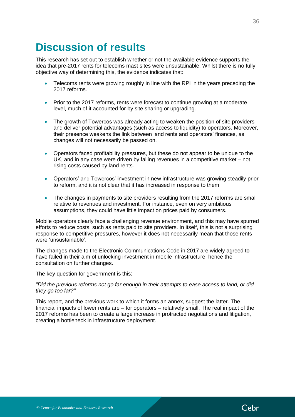## <span id="page-35-0"></span>**Discussion of results**

This research has set out to establish whether or not the available evidence supports the idea that pre-2017 rents for telecoms mast sites were unsustainable. Whilst there is no fully objective way of determining this, the evidence indicates that:

- Telecoms rents were growing roughly in line with the RPI in the years preceding the 2017 reforms.
- Prior to the 2017 reforms, rents were forecast to continue growing at a moderate level, much of it accounted for by site sharing or upgrading.
- The growth of Towercos was already acting to weaken the position of site providers and deliver potential advantages (such as access to liquidity) to operators. Moreover, their presence weakens the link between land rents and operators' finances, as changes will not necessarily be passed on.
- Operators faced profitability pressures, but these do not appear to be unique to the UK, and in any case were driven by falling revenues in a competitive market – not rising costs caused by land rents.
- Operators' and Towercos' investment in new infrastructure was growing steadily prior to reform, and it is not clear that it has increased in response to them.
- The changes in payments to site providers resulting from the 2017 reforms are small relative to revenues and investment. For instance, even on very ambitious assumptions, they could have little impact on prices paid by consumers.

Mobile operators clearly face a challenging revenue environment, and this may have spurred efforts to reduce costs, such as rents paid to site providers. In itself, this is not a surprising response to competitive pressures, however it does not necessarily mean that those rents were 'unsustainable'.

The changes made to the Electronic Communications Code in 2017 are widely agreed to have failed in their aim of unlocking investment in mobile infrastructure, hence the consultation on further changes.

The key question for government is this:

*"Did the previous reforms not go far enough in their attempts to ease access to land, or did they go too far?"*

This report, and the previous work to which it forms an annex, suggest the latter. The financial impacts of lower rents are – for operators – relatively small. The real impact of the 2017 reforms has been to create a large increase in protracted negotiations and litigation, creating a bottleneck in infrastructure deployment.

![](_page_35_Picture_15.jpeg)